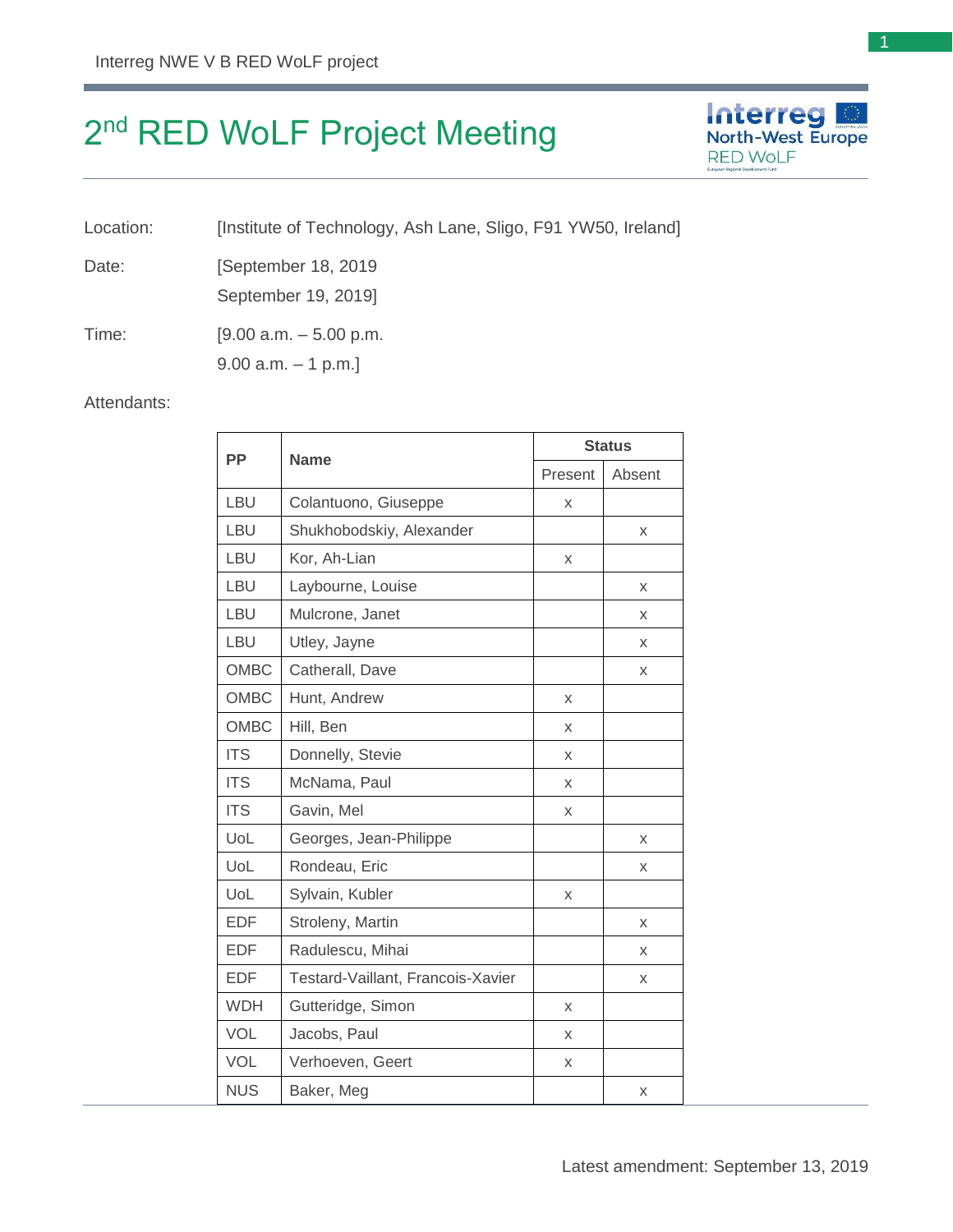# 2<sup>nd</sup> RED WoLF Project Meeting

Location: [Institute of Technology, Ash Lane, Sligo, F91 YW50, Ireland]

Date: [September 18, 2019]

September 19, 2019]

Time: [9.00 a.m. – 5.00 p.m.

9.00 a.m. – 1 p.m.]

### Attendants:

| <b>PP</b>   | <b>Name</b>                       | <b>Status</b> |        |
|-------------|-----------------------------------|---------------|--------|
|             |                                   | Present       | Absent |
| <b>LBU</b>  | Colantuono, Giuseppe              | X             |        |
| LBU         | Shukhobodskiy, Alexander          |               | X      |
| LBU         | Kor, Ah-Lian                      | X             |        |
| LBU         | Laybourne, Louise                 |               | X      |
| LBU         | Mulcrone, Janet                   |               | X      |
| LBU         | Utley, Jayne                      |               | X      |
| OMBC        | Catherall, Dave                   |               | X      |
| OMBC        | Hunt, Andrew                      | X             |        |
| <b>OMBC</b> | Hill, Ben                         | X             |        |
| <b>ITS</b>  | Donnelly, Stevie                  | X             |        |
| <b>ITS</b>  | McNama, Paul                      | X             |        |
| <b>ITS</b>  | Gavin, Mel                        | X             |        |
| UoL         | Georges, Jean-Philippe            |               | X      |
| UoL         | Rondeau, Eric                     |               | X      |
| UoL         | Sylvain, Kubler                   | X             |        |
| <b>EDF</b>  | Stroleny, Martin                  |               | X      |
| <b>EDF</b>  | Radulescu, Mihai                  |               | X      |
| <b>EDF</b>  | Testard-Vaillant, Francois-Xavier |               | X      |
| <b>WDH</b>  | Gutteridge, Simon                 | X             |        |
| <b>VOL</b>  | Jacobs, Paul                      | X             |        |
| <b>VOL</b>  | Verhoeven, Geert                  | X             |        |
| <b>NUS</b>  | Baker, Meg                        |               | Χ      |

**Interreg North-West Europe** 

**RED WOLF**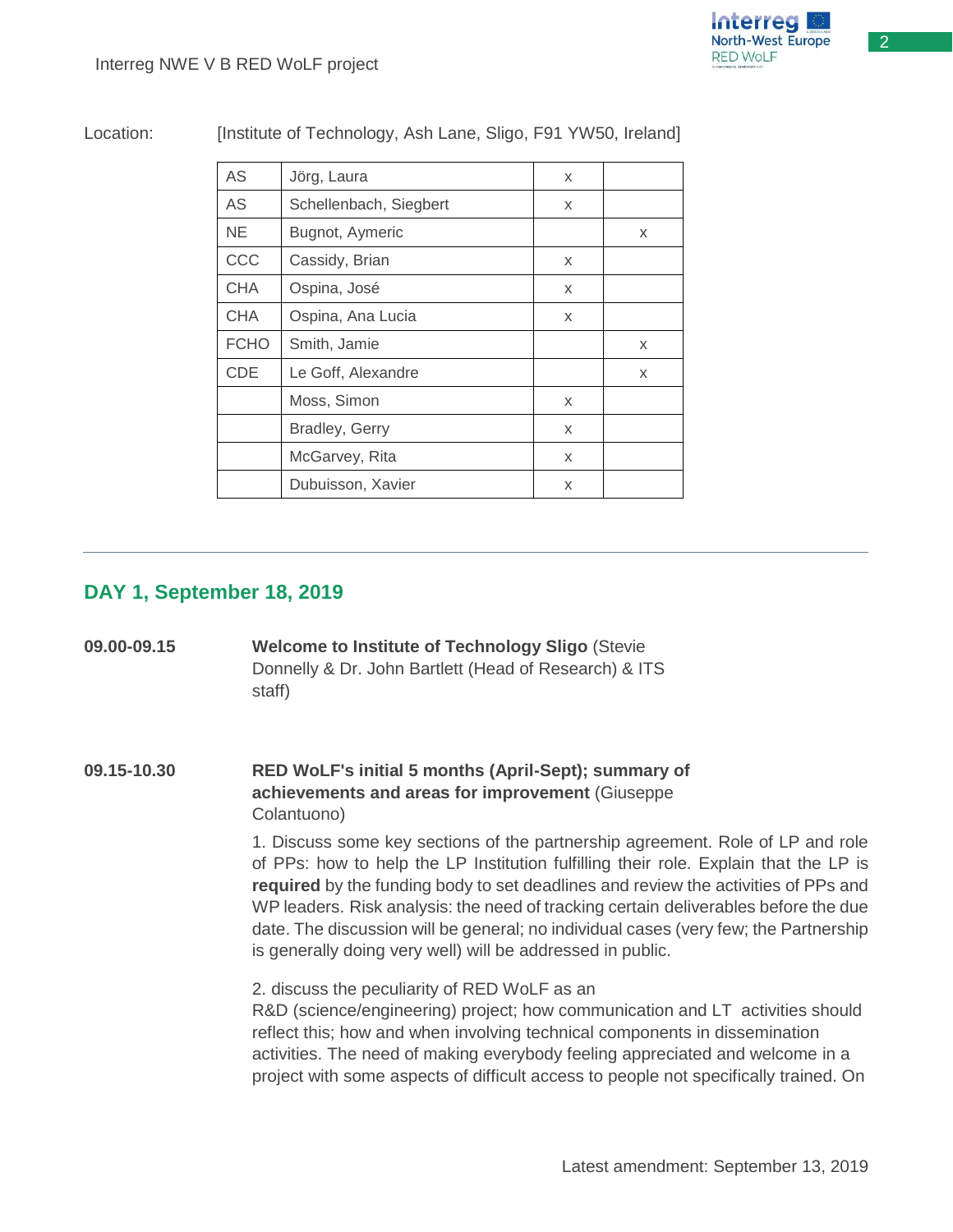2

Location: [Institute of Technology, Ash Lane, Sligo, F91 YW50, Ireland]

| <b>AS</b>   | Jörg, Laura            | X |   |
|-------------|------------------------|---|---|
| <b>AS</b>   | Schellenbach, Siegbert | X |   |
| <b>NE</b>   | Bugnot, Aymeric        |   | X |
| CCC         | Cassidy, Brian         | X |   |
| <b>CHA</b>  | Ospina, José           | X |   |
| <b>CHA</b>  | Ospina, Ana Lucia      | X |   |
| <b>FCHO</b> | Smith, Jamie           |   | X |
| <b>CDE</b>  | Le Goff, Alexandre     |   | X |
|             | Moss, Simon            | X |   |
|             | Bradley, Gerry         | X |   |
|             | McGarvey, Rita         | X |   |
|             | Dubuisson, Xavier      | X |   |

## **DAY 1, September 18, 2019**

| 09.00-09.15 | <b>Welcome to Institute of Technology Sligo (Stevie</b><br>Donnelly & Dr. John Bartlett (Head of Research) & ITS<br>staff)                                                                                                                                                                                                                                                                                                                                                                                |
|-------------|-----------------------------------------------------------------------------------------------------------------------------------------------------------------------------------------------------------------------------------------------------------------------------------------------------------------------------------------------------------------------------------------------------------------------------------------------------------------------------------------------------------|
| 09.15-10.30 | RED WoLF's initial 5 months (April-Sept); summary of<br>achievements and areas for improvement (Giuseppe<br>Colantuono)                                                                                                                                                                                                                                                                                                                                                                                   |
|             | 1. Discuss some key sections of the partnership agreement. Role of LP and role<br>of PPs: how to help the LP Institution fulfilling their role. Explain that the LP is<br>required by the funding body to set deadlines and review the activities of PPs and<br>WP leaders. Risk analysis: the need of tracking certain deliverables before the due<br>date. The discussion will be general; no individual cases (very few; the Partnership<br>is generally doing very well) will be addressed in public. |
|             | 2. discuss the peculiarity of RED WoLF as an<br>R&D (science/engineering) project; how communication and LT activities should<br>reflect this; how and when involving technical components in dissemination<br>activities. The need of making everybody feeling appreciated and welcome in a<br>project with some aspects of difficult access to people not specifically trained. On                                                                                                                      |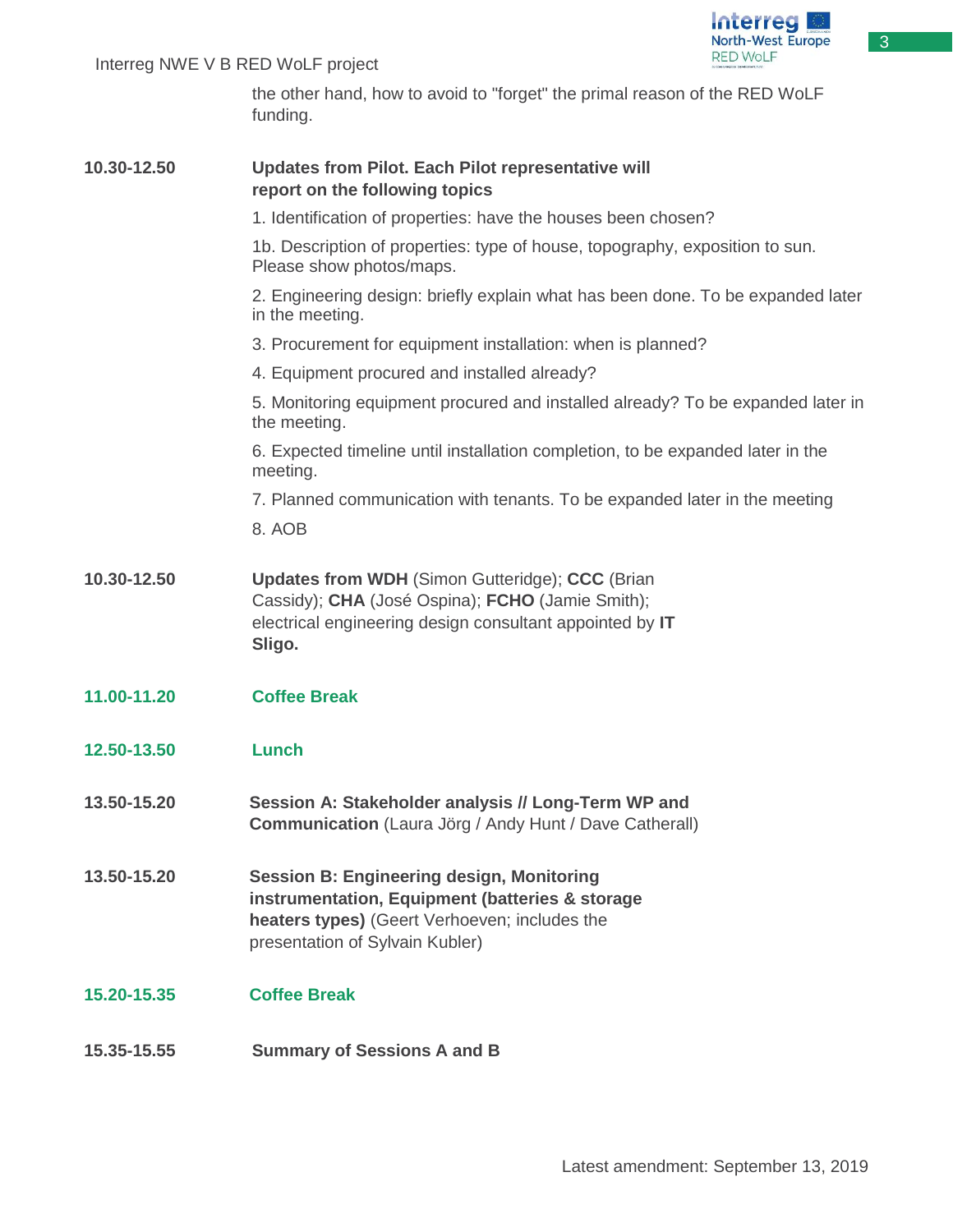

3

### Interreg NWE V B RED WoLF project

the other hand, how to avoid to "forget" the primal reason of the RED WoLF funding.

| 10.30-12.50 | Updates from Pilot. Each Pilot representative will<br>report on the following topics                                                                                                    |
|-------------|-----------------------------------------------------------------------------------------------------------------------------------------------------------------------------------------|
|             | 1. Identification of properties: have the houses been chosen?                                                                                                                           |
|             | 1b. Description of properties: type of house, topography, exposition to sun.<br>Please show photos/maps.                                                                                |
|             | 2. Engineering design: briefly explain what has been done. To be expanded later<br>in the meeting.                                                                                      |
|             | 3. Procurement for equipment installation: when is planned?                                                                                                                             |
|             | 4. Equipment procured and installed already?                                                                                                                                            |
|             | 5. Monitoring equipment procured and installed already? To be expanded later in<br>the meeting.                                                                                         |
|             | 6. Expected timeline until installation completion, to be expanded later in the<br>meeting.                                                                                             |
|             | 7. Planned communication with tenants. To be expanded later in the meeting                                                                                                              |
|             | 8. AOB                                                                                                                                                                                  |
| 10.30-12.50 | <b>Updates from WDH (Simon Gutteridge); CCC (Brian</b><br>Cassidy); CHA (José Ospina); FCHO (Jamie Smith);<br>electrical engineering design consultant appointed by IT<br>Sligo.        |
| 11.00-11.20 | <b>Coffee Break</b>                                                                                                                                                                     |
| 12.50-13.50 | Lunch                                                                                                                                                                                   |
| 13.50-15.20 | Session A: Stakeholder analysis // Long-Term WP and<br><b>Communication</b> (Laura Jörg / Andy Hunt / Dave Catherall)                                                                   |
| 13.50-15.20 | <b>Session B: Engineering design, Monitoring</b><br>instrumentation, Equipment (batteries & storage<br>heaters types) (Geert Verhoeven; includes the<br>presentation of Sylvain Kubler) |
| 15.20-15.35 | <b>Coffee Break</b>                                                                                                                                                                     |
| 15.35-15.55 | <b>Summary of Sessions A and B</b>                                                                                                                                                      |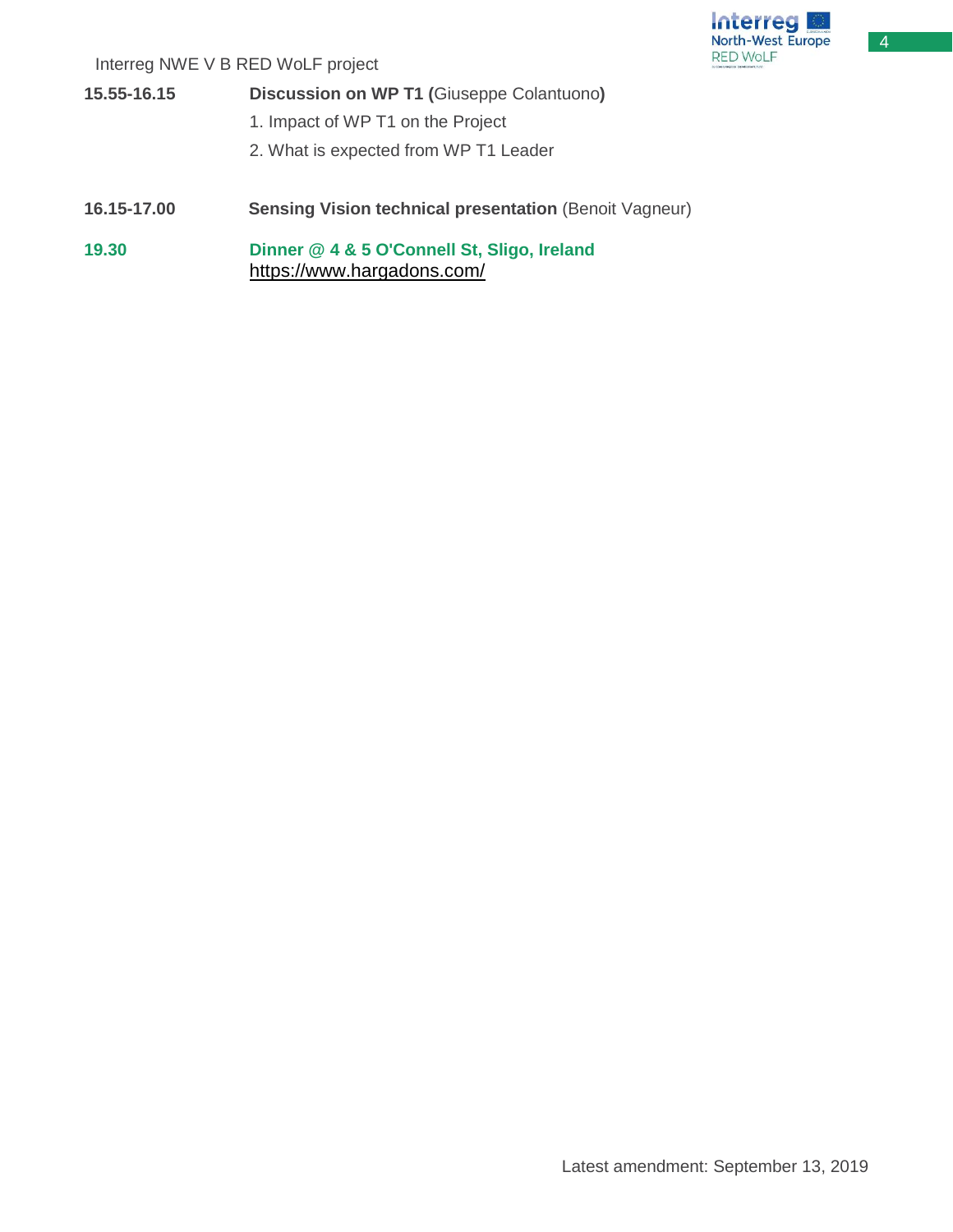4

Interreg NWE V B RED WoLF project

**15.55-16.15 Discussion on WP T1 (**Giuseppe Colantuono**)** 1. Impact of WP T1 on the Project 2. What is expected from WP T1 Leader **16.15-17.00 Sensing Vision technical presentation** (Benoit Vagneur) **19.30 Dinner @ 4 & 5 O'Connell St, Sligo, Ireland** <https://www.hargadons.com/>